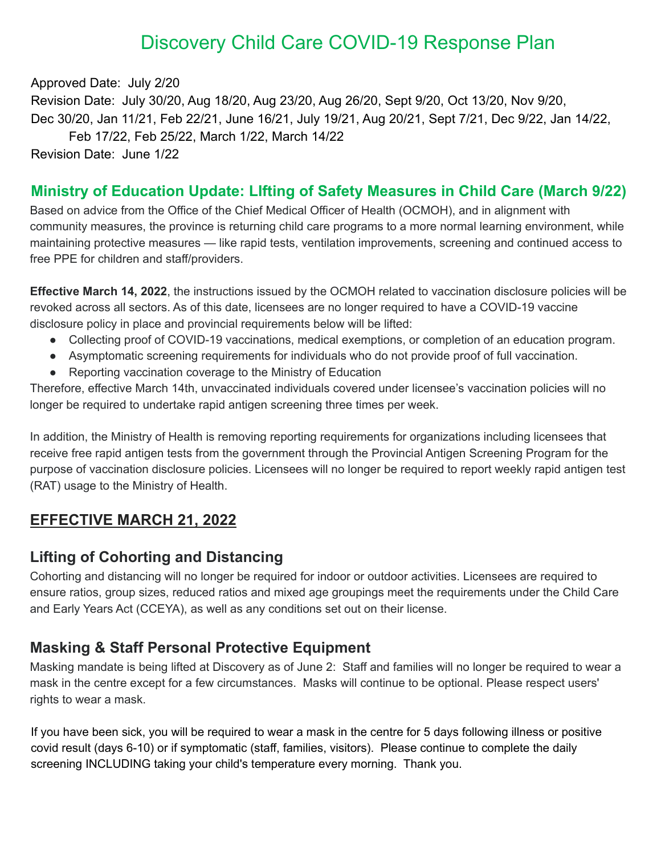# Discovery Child Care COVID-19 Response Plan

Approved Date: July 2/20 Revision Date: July 30/20, Aug 18/20, Aug 23/20, Aug 26/20, Sept 9/20, Oct 13/20, Nov 9/20, Dec 30/20, Jan 11/21, Feb 22/21, June 16/21, July 19/21, Aug 20/21, Sept 7/21, Dec 9/22, Jan 14/22, Feb 17/22, Feb 25/22, March 1/22, March 14/22 Revision Date: June 1/22

### **Ministry of Education Update: LIfting of Safety Measures in Child Care (March 9/22)**

Based on advice from the Office of the Chief Medical Officer of Health (OCMOH), and in alignment with community measures, the province is returning child care programs to a more normal learning environment, while maintaining protective measures — like rapid tests, ventilation improvements, screening and continued access to free PPE for children and staff/providers.

**Effective March 14, 2022**, the instructions issued by the OCMOH related to vaccination disclosure policies will be revoked across all sectors. As of this date, licensees are no longer required to have a COVID-19 vaccine disclosure policy in place and provincial requirements below will be lifted:

- Collecting proof of COVID-19 vaccinations, medical exemptions, or completion of an education program.
- Asymptomatic screening requirements for individuals who do not provide proof of full vaccination.
- Reporting vaccination coverage to the Ministry of Education

Therefore, effective March 14th, unvaccinated individuals covered under licensee's vaccination policies will no longer be required to undertake rapid antigen screening three times per week.

In addition, the Ministry of Health is removing reporting requirements for organizations including licensees that receive free rapid antigen tests from the government through the Provincial Antigen Screening Program for the purpose of vaccination disclosure policies. Licensees will no longer be required to report weekly rapid antigen test (RAT) usage to the Ministry of Health.

### **EFFECTIVE MARCH 21, 2022**

### **Lifting of Cohorting and Distancing**

Cohorting and distancing will no longer be required for indoor or outdoor activities. Licensees are required to ensure ratios, group sizes, reduced ratios and mixed age groupings meet the requirements under the Child Care and Early Years Act (CCEYA), as well as any conditions set out on their license.

### **Masking & Staff Personal Protective Equipment**

Masking mandate is being lifted at Discovery as of June 2: Staff and families will no longer be required to wear a mask in the centre except for a few circumstances. Masks will continue to be optional. Please respect users' rights to wear a mask.

If you have been sick, you will be required to wear a mask in the centre for 5 days following illness or positive covid result (days 6-10) or if symptomatic (staff, families, visitors). Please continue to complete the daily screening INCLUDING taking your child's temperature every morning. Thank you.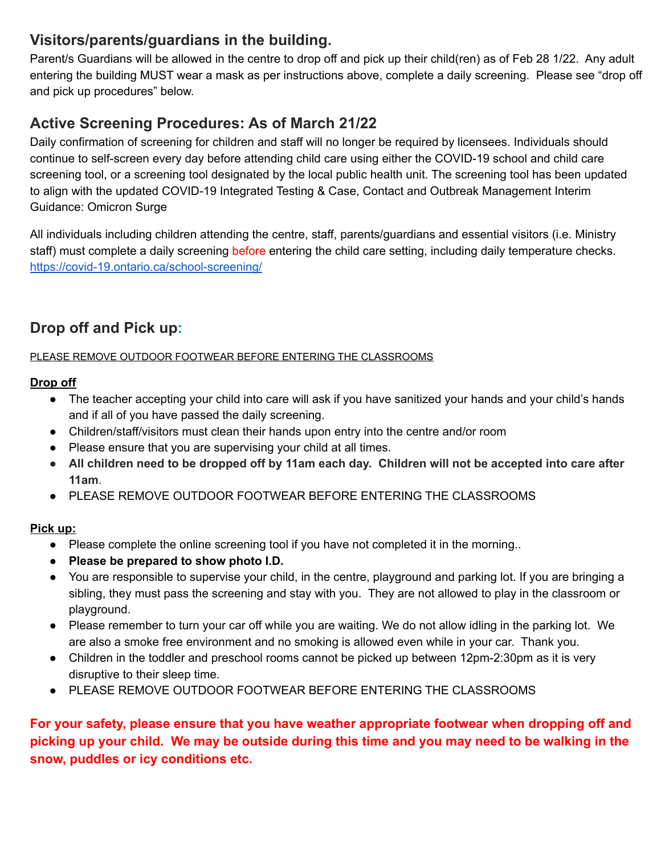# **Visitors/parents/guardians in the building.**

Parent/s Guardians will be allowed in the centre to drop off and pick up their child(ren) as of Feb 28 1/22. Any adult entering the building MUST wear a mask as per instructions above, complete a daily screening. Please see "drop off and pick up procedures" below.

# **Active Screening Procedures: As of March 21/22**

Daily confirmation of screening for children and staff will no longer be required by licensees. Individuals should continue to self-screen every day before attending child care using either the COVID-19 school and child care screening tool, or a screening tool designated by the local public health unit. The screening tool has been updated to align with the updated COVID-19 Integrated Testing & Case, Contact and Outbreak Management Interim Guidance: Omicron Surge

All individuals including children attending the centre, staff, parents/guardians and essential visitors (i.e. Ministry staff) must complete a daily screening before entering the child care setting, including daily temperature checks. <https://covid-19.ontario.ca/school-screening/>

# **Drop off and Pick up:**

PLEASE REMOVE OUTDOOR FOOTWEAR BEFORE ENTERING THE CLASSROOMS

#### **Drop off**

- The teacher accepting your child into care will ask if you have sanitized your hands and your child's hands and if all of you have passed the daily screening.
- Children/staff/visitors must clean their hands upon entry into the centre and/or room
- Please ensure that you are supervising your child at all times.
- All children need to be dropped off by 11am each day. Children will not be accepted into care after **11am**.
- PLEASE REMOVE OUTDOOR FOOTWEAR BEFORE ENTERING THE CLASSROOMS

### **Pick up:**

- Please complete the online screening tool if you have not completed it in the morning..
- **Please be prepared to show photo I.D.**
- You are responsible to supervise your child, in the centre, playground and parking lot. If you are bringing a sibling, they must pass the screening and stay with you. They are not allowed to play in the classroom or playground.
- Please remember to turn your car off while you are waiting. We do not allow idling in the parking lot. We are also a smoke free environment and no smoking is allowed even while in your car. Thank you.
- Children in the toddler and preschool rooms cannot be picked up between 12pm-2:30pm as it is very disruptive to their sleep time.
- PLEASE REMOVE OUTDOOR FOOTWEAR BEFORE ENTERING THE CLASSROOMS

**For your safety, please ensure that you have weather appropriate footwear when dropping off and picking up your child. We may be outside during this time and you may need to be walking in the snow, puddles or icy conditions etc.**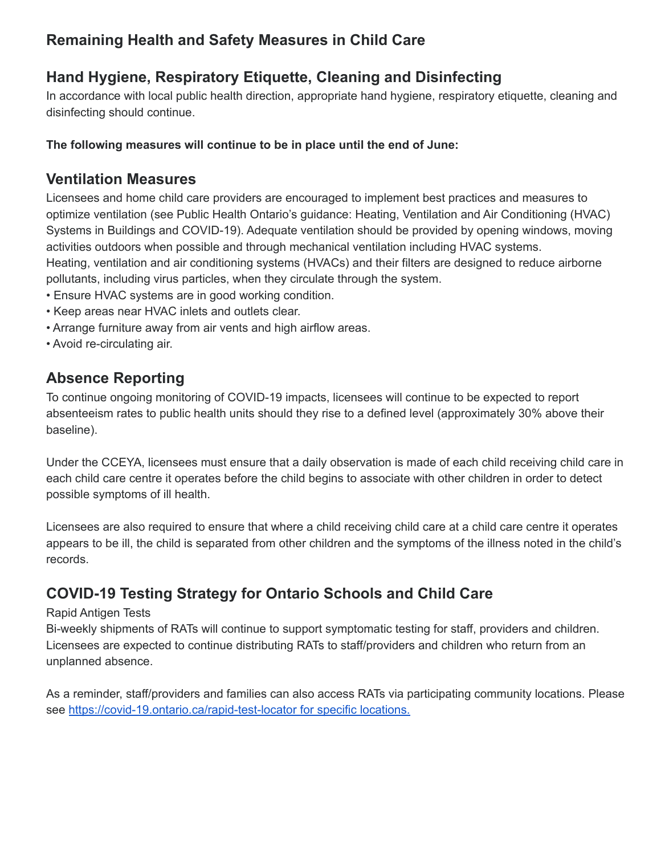# **Remaining Health and Safety Measures in Child Care**

# **Hand Hygiene, Respiratory Etiquette, Cleaning and Disinfecting**

In accordance with local public health direction, appropriate hand hygiene, respiratory etiquette, cleaning and disinfecting should continue.

### **The following measures will continue to be in place until the end of June:**

### **Ventilation Measures**

Licensees and home child care providers are encouraged to implement best practices and measures to optimize ventilation (see Public Health Ontario's guidance: Heating, Ventilation and Air Conditioning (HVAC) Systems in Buildings and COVID-19). Adequate ventilation should be provided by opening windows, moving activities outdoors when possible and through mechanical ventilation including HVAC systems. Heating, ventilation and air conditioning systems (HVACs) and their filters are designed to reduce airborne pollutants, including virus particles, when they circulate through the system.

- Ensure HVAC systems are in good working condition.
- Keep areas near HVAC inlets and outlets clear.
- Arrange furniture away from air vents and high airflow areas.
- Avoid re-circulating air.

# **Absence Reporting**

To continue ongoing monitoring of COVID-19 impacts, licensees will continue to be expected to report absenteeism rates to public health units should they rise to a defined level (approximately 30% above their baseline).

Under the CCEYA, licensees must ensure that a daily observation is made of each child receiving child care in each child care centre it operates before the child begins to associate with other children in order to detect possible symptoms of ill health.

Licensees are also required to ensure that where a child receiving child care at a child care centre it operates appears to be ill, the child is separated from other children and the symptoms of the illness noted in the child's records.

# **COVID-19 Testing Strategy for Ontario Schools and Child Care**

#### Rapid Antigen Tests

Bi-weekly shipments of RATs will continue to support symptomatic testing for staff, providers and children. Licensees are expected to continue distributing RATs to staff/providers and children who return from an unplanned absence.

As a reminder, staff/providers and families can also access RATs via participating community locations. Please see <https://covid-19.ontario.ca/rapid-test-locator> for specific locations.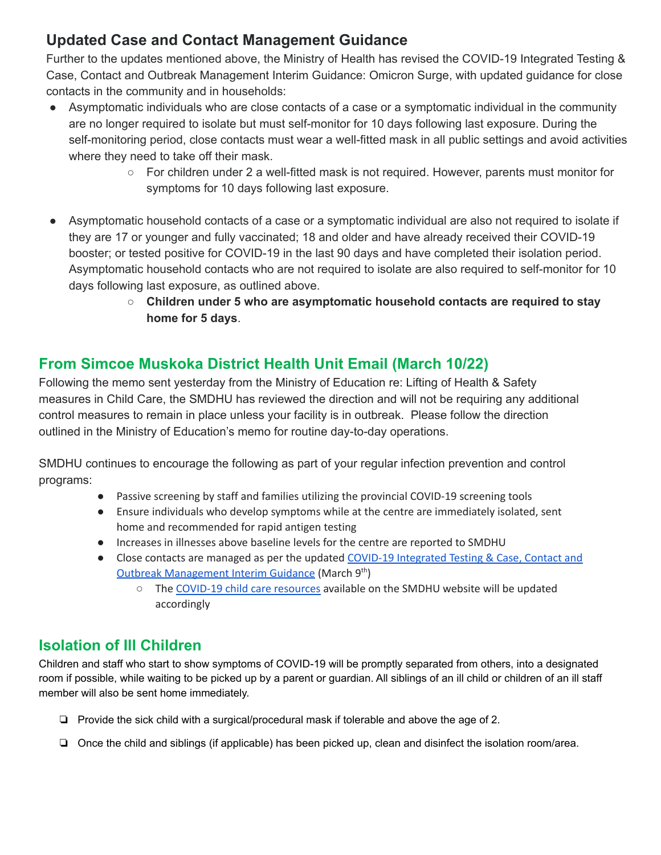# **Updated Case and Contact Management Guidance**

Further to the updates mentioned above, the Ministry of Health has revised the COVID-19 Integrated Testing & Case, Contact and Outbreak Management Interim Guidance: Omicron Surge, with updated guidance for close contacts in the community and in households:

- Asymptomatic individuals who are close contacts of a case or a symptomatic individual in the community are no longer required to isolate but must self-monitor for 10 days following last exposure. During the self-monitoring period, close contacts must wear a well-fitted mask in all public settings and avoid activities where they need to take off their mask.
	- For children under 2 a well-fitted mask is not required. However, parents must monitor for symptoms for 10 days following last exposure.
- Asymptomatic household contacts of a case or a symptomatic individual are also not required to isolate if they are 17 or younger and fully vaccinated; 18 and older and have already received their COVID-19 booster; or tested positive for COVID-19 in the last 90 days and have completed their isolation period. Asymptomatic household contacts who are not required to isolate are also required to self-monitor for 10 days following last exposure, as outlined above.
	- **Children under 5 who are asymptomatic household contacts are required to stay home for 5 days**.

# **From Simcoe Muskoka District Health Unit Email (March 10/22)**

Following the memo sent yesterday from the Ministry of Education re: Lifting of Health & Safety measures in Child Care, the SMDHU has reviewed the direction and will not be requiring any additional control measures to remain in place unless your facility is in outbreak. Please follow the direction outlined in the Ministry of Education's memo for routine day-to-day operations.

SMDHU continues to encourage the following as part of your regular infection prevention and control programs:

- Passive screening by staff and families utilizing the provincial COVID-19 screening tools
- Ensure individuals who develop symptoms while at the centre are immediately isolated, sent home and recommended for rapid antigen testing
- Increases in illnesses above baseline levels for the centre are reported to SMDHU
- Close contacts are managed as per the updated COVID-19 [Integrated](https://www.health.gov.on.ca/en/pro/programs/publichealth/coronavirus/docs/contact_mngmt/management_cases_contacts_omicron.pdf) Testing & Case, Contact and Outbreak [Management](https://www.health.gov.on.ca/en/pro/programs/publichealth/coronavirus/docs/contact_mngmt/management_cases_contacts_omicron.pdf) Interim Guidance (March 9<sup>th</sup>)
	- The [COVID-19](https://www.simcoemuskokahealth.org/HealthUnit/Workplaces/Businesses/ChildCare/COVID-19-Information) child care resources available on the SMDHU website will be updated accordingly

# **Isolation of Ill Children**

Children and staff who start to show symptoms of COVID-19 will be promptly separated from others, into a designated room if possible, while waiting to be picked up by a parent or guardian. All siblings of an ill child or children of an ill staff member will also be sent home immediately.

- ❏ Provide the sick child with a surgical/procedural mask if tolerable and above the age of 2.
- ❏ Once the child and siblings (if applicable) has been picked up, clean and disinfect the isolation room/area.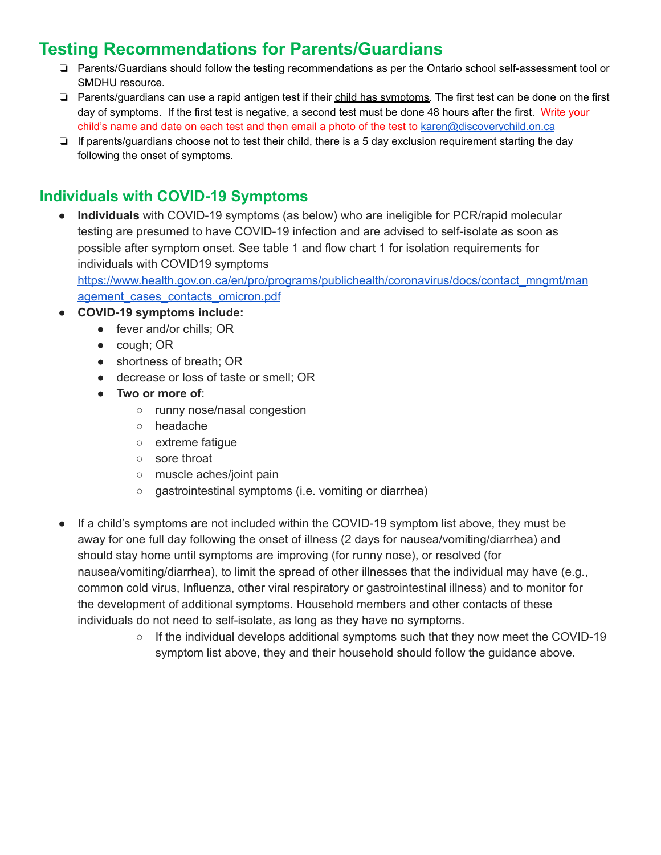# **Testing Recommendations for Parents/Guardians**

- ❏ Parents/Guardians should follow the testing recommendations as per the Ontario school self-assessment tool or SMDHU resource.
- ❏ Parents/guardians can use a rapid antigen test if their child has symptoms. The first test can be done on the first day of symptoms. If the first test is negative, a second test must be done 48 hours after the first. Write your child's name and date on each test and then email a photo of the test to [karen@discoverychild.on.ca](mailto:karen@discoverychild.on.ca)
- ❏ If parents/guardians choose not to test their child, there is a 5 day exclusion requirement starting the day following the onset of symptoms.

# **Individuals with COVID-19 Symptoms**

**Individuals** with COVID-19 symptoms (as below) who are ineligible for PCR/rapid molecular testing are presumed to have COVID-19 infection and are advised to self-isolate as soon as possible after symptom onset. See table 1 and flow chart 1 for isolation requirements for individuals with COVID19 symptoms

[https://www.health.gov.on.ca/en/pro/programs/publichealth/coronavirus/docs/contact\\_mngmt/man](https://www.health.gov.on.ca/en/pro/programs/publichealth/coronavirus/docs/contact_mngmt/management_cases_contacts_omicron.pdf) [agement\\_cases\\_contacts\\_omicron.pdf](https://www.health.gov.on.ca/en/pro/programs/publichealth/coronavirus/docs/contact_mngmt/management_cases_contacts_omicron.pdf)

- **● COVID-19 symptoms include:**
	- fever and/or chills; OR
	- cough; OR
	- shortness of breath; OR
	- decrease or loss of taste or smell; OR
	- **Two or more of**:
		- runny nose/nasal congestion
		- headache
		- extreme fatigue
		- sore throat
		- muscle aches/joint pain
		- gastrointestinal symptoms (i.e. vomiting or diarrhea)
- If a child's symptoms are not included within the COVID-19 symptom list above, they must be away for one full day following the onset of illness (2 days for nausea/vomiting/diarrhea) and should stay home until symptoms are improving (for runny nose), or resolved (for nausea/vomiting/diarrhea), to limit the spread of other illnesses that the individual may have (e.g., common cold virus, Influenza, other viral respiratory or gastrointestinal illness) and to monitor for the development of additional symptoms. Household members and other contacts of these individuals do not need to self-isolate, as long as they have no symptoms.
	- If the individual develops additional symptoms such that they now meet the COVID-19 symptom list above, they and their household should follow the guidance above.